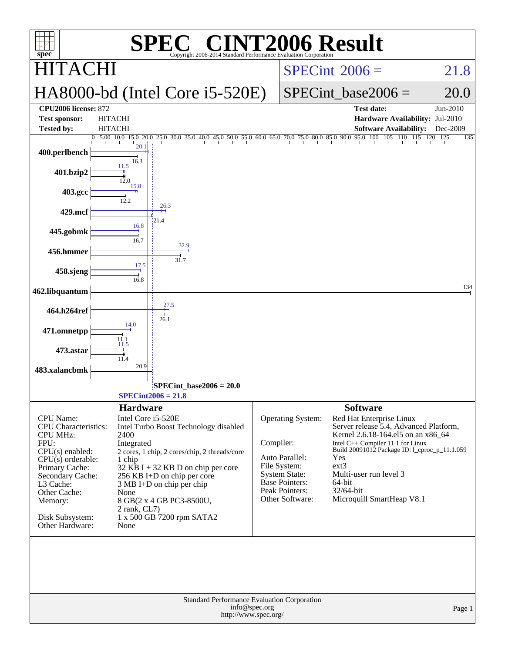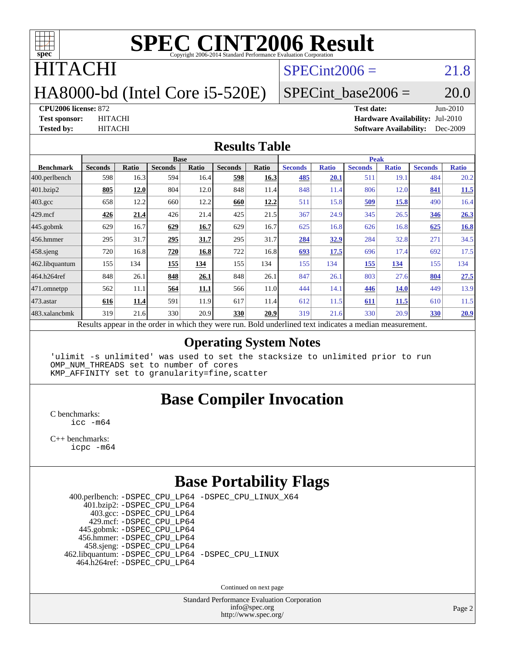

### **ITACHI**

#### $SPECint2006 = 21.8$  $SPECint2006 = 21.8$

### HA8000-bd (Intel Core i5-520E)

#### $SPECTnt\_base2006 = 20.0$

**[CPU2006 license:](http://www.spec.org/auto/cpu2006/Docs/result-fields.html#CPU2006license)** 872 **[Test date:](http://www.spec.org/auto/cpu2006/Docs/result-fields.html#Testdate)** Jun-2010 **[Test sponsor:](http://www.spec.org/auto/cpu2006/Docs/result-fields.html#Testsponsor)** HITACHI **[Hardware Availability:](http://www.spec.org/auto/cpu2006/Docs/result-fields.html#HardwareAvailability)** Jul-2010 **[Tested by:](http://www.spec.org/auto/cpu2006/Docs/result-fields.html#Testedby)** HITACHI **[Software Availability:](http://www.spec.org/auto/cpu2006/Docs/result-fields.html#SoftwareAvailability)** Dec-2009

#### **[Results Table](http://www.spec.org/auto/cpu2006/Docs/result-fields.html#ResultsTable)**

|                    | <b>Base</b>                                                                                              |       |                |       |                |       | <b>Peak</b>    |              |                |              |                |              |  |
|--------------------|----------------------------------------------------------------------------------------------------------|-------|----------------|-------|----------------|-------|----------------|--------------|----------------|--------------|----------------|--------------|--|
| <b>Benchmark</b>   | <b>Seconds</b>                                                                                           | Ratio | <b>Seconds</b> | Ratio | <b>Seconds</b> | Ratio | <b>Seconds</b> | <b>Ratio</b> | <b>Seconds</b> | <b>Ratio</b> | <b>Seconds</b> | <b>Ratio</b> |  |
| $ 400$ .perlbench  | 598                                                                                                      | 16.3  | 594            | 16.4  | 598            | 16.3  | 485            | 20.1         | 511            | 19.1         | 484            | 20.2         |  |
| 401.bzip2          | 805                                                                                                      | 12.0  | 804            | 12.0  | 848            | 11.4  | 848            | 11.4         | 806            | 12.0         | 841            | 11.5         |  |
| $403.\mathrm{gcc}$ | 658                                                                                                      | 12.2  | 660            | 12.2  | 660            | 12.2  | 511            | 15.8         | 509            | 15.8         | 490            | 16.4         |  |
| $429$ .mcf         | 426                                                                                                      | 21.4  | 426            | 21.4  | 425            | 21.5  | 367            | 24.9         | 345            | 26.5         | 346            | 26.3         |  |
| $445$ .gobmk       | 629                                                                                                      | 16.7  | 629            | 16.7  | 629            | 16.7  | 625            | 16.8         | 626            | 16.8         | 625            | 16.8         |  |
| $456.$ hmmer       | 295                                                                                                      | 31.7  | 295            | 31.7  | 295            | 31.7  | 284            | 32.9         | 284            | 32.8         | 271            | 34.5         |  |
| $458$ .sjeng       | 720                                                                                                      | 16.8  | 720            | 16.8  | 722            | 16.8  | 693            | 17.5         | 696            | 17.4         | 692            | 17.5         |  |
| 462.libquantum     | 155                                                                                                      | 134   | 155            | 134   | 155            | 134   | 155            | 134          | 155            | 134          | 155            | 134          |  |
| 464.h264ref        | 848                                                                                                      | 26.1  | 848            | 26.1  | 848            | 26.1  | 847            | 26.1         | 803            | 27.6         | 804            | 27.5         |  |
| 471.omnetpp        | 562                                                                                                      | 11.1  | 564            | 11.1  | 566            | 11.0  | 444            | 14.1         | 446            | <b>14.0</b>  | 449            | 13.9         |  |
| $473$ . astar      | 616                                                                                                      | 11.4  | 591            | 11.9  | 617            | 11.4  | 612            | 11.5         | 611            | 11.5         | 610            | 11.5         |  |
| 483.xalancbmk      | 319                                                                                                      | 21.6  | 330            | 20.9  | 330            | 20.9  | 319            | 21.6         | 330            | 20.9         | <b>330</b>     | 20.9         |  |
|                    | Results appear in the order in which they were run. Bold underlined text indicates a median measurement. |       |                |       |                |       |                |              |                |              |                |              |  |

**[Operating System Notes](http://www.spec.org/auto/cpu2006/Docs/result-fields.html#OperatingSystemNotes)**

'ulimit -s unlimited' was used to set the stacksize to unlimited prior to run OMP\_NUM\_THREADS set to number of cores KMP\_AFFINITY set to granularity=fine,scatter

#### **[Base Compiler Invocation](http://www.spec.org/auto/cpu2006/Docs/result-fields.html#BaseCompilerInvocation)**

[C benchmarks](http://www.spec.org/auto/cpu2006/Docs/result-fields.html#Cbenchmarks): [icc -m64](http://www.spec.org/cpu2006/results/res2010q3/cpu2006-20100608-11631.flags.html#user_CCbase_intel_icc_64bit_bda6cc9af1fdbb0edc3795bac97ada53)

[C++ benchmarks:](http://www.spec.org/auto/cpu2006/Docs/result-fields.html#CXXbenchmarks) [icpc -m64](http://www.spec.org/cpu2006/results/res2010q3/cpu2006-20100608-11631.flags.html#user_CXXbase_intel_icpc_64bit_fc66a5337ce925472a5c54ad6a0de310)

#### **[Base Portability Flags](http://www.spec.org/auto/cpu2006/Docs/result-fields.html#BasePortabilityFlags)**

 400.perlbench: [-DSPEC\\_CPU\\_LP64](http://www.spec.org/cpu2006/results/res2010q3/cpu2006-20100608-11631.flags.html#b400.perlbench_basePORTABILITY_DSPEC_CPU_LP64) [-DSPEC\\_CPU\\_LINUX\\_X64](http://www.spec.org/cpu2006/results/res2010q3/cpu2006-20100608-11631.flags.html#b400.perlbench_baseCPORTABILITY_DSPEC_CPU_LINUX_X64) 401.bzip2: [-DSPEC\\_CPU\\_LP64](http://www.spec.org/cpu2006/results/res2010q3/cpu2006-20100608-11631.flags.html#suite_basePORTABILITY401_bzip2_DSPEC_CPU_LP64) 403.gcc: [-DSPEC\\_CPU\\_LP64](http://www.spec.org/cpu2006/results/res2010q3/cpu2006-20100608-11631.flags.html#suite_basePORTABILITY403_gcc_DSPEC_CPU_LP64) 429.mcf: [-DSPEC\\_CPU\\_LP64](http://www.spec.org/cpu2006/results/res2010q3/cpu2006-20100608-11631.flags.html#suite_basePORTABILITY429_mcf_DSPEC_CPU_LP64) 445.gobmk: [-DSPEC\\_CPU\\_LP64](http://www.spec.org/cpu2006/results/res2010q3/cpu2006-20100608-11631.flags.html#suite_basePORTABILITY445_gobmk_DSPEC_CPU_LP64) 456.hmmer: [-DSPEC\\_CPU\\_LP64](http://www.spec.org/cpu2006/results/res2010q3/cpu2006-20100608-11631.flags.html#suite_basePORTABILITY456_hmmer_DSPEC_CPU_LP64) 458.sjeng: [-DSPEC\\_CPU\\_LP64](http://www.spec.org/cpu2006/results/res2010q3/cpu2006-20100608-11631.flags.html#suite_basePORTABILITY458_sjeng_DSPEC_CPU_LP64) 462.libquantum: [-DSPEC\\_CPU\\_LP64](http://www.spec.org/cpu2006/results/res2010q3/cpu2006-20100608-11631.flags.html#suite_basePORTABILITY462_libquantum_DSPEC_CPU_LP64) [-DSPEC\\_CPU\\_LINUX](http://www.spec.org/cpu2006/results/res2010q3/cpu2006-20100608-11631.flags.html#b462.libquantum_baseCPORTABILITY_DSPEC_CPU_LINUX) 464.h264ref: [-DSPEC\\_CPU\\_LP64](http://www.spec.org/cpu2006/results/res2010q3/cpu2006-20100608-11631.flags.html#suite_basePORTABILITY464_h264ref_DSPEC_CPU_LP64)

Continued on next page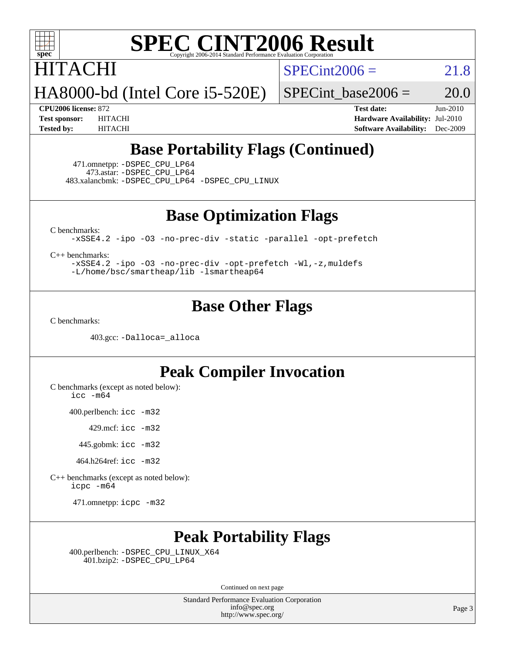

### HITACHI

 $SPECint2006 = 21.8$  $SPECint2006 = 21.8$ 

HA8000-bd (Intel Core i5-520E)

SPECint base2006 =  $20.0$ 

**[CPU2006 license:](http://www.spec.org/auto/cpu2006/Docs/result-fields.html#CPU2006license)** 872 **[Test date:](http://www.spec.org/auto/cpu2006/Docs/result-fields.html#Testdate)** Jun-2010 **[Test sponsor:](http://www.spec.org/auto/cpu2006/Docs/result-fields.html#Testsponsor)** HITACHI **[Hardware Availability:](http://www.spec.org/auto/cpu2006/Docs/result-fields.html#HardwareAvailability)** Jul-2010 **[Tested by:](http://www.spec.org/auto/cpu2006/Docs/result-fields.html#Testedby)** HITACHI **[Software Availability:](http://www.spec.org/auto/cpu2006/Docs/result-fields.html#SoftwareAvailability)** Dec-2009

#### **[Base Portability Flags \(Continued\)](http://www.spec.org/auto/cpu2006/Docs/result-fields.html#BasePortabilityFlags)**

 471.omnetpp: [-DSPEC\\_CPU\\_LP64](http://www.spec.org/cpu2006/results/res2010q3/cpu2006-20100608-11631.flags.html#suite_basePORTABILITY471_omnetpp_DSPEC_CPU_LP64) 473.astar: [-DSPEC\\_CPU\\_LP64](http://www.spec.org/cpu2006/results/res2010q3/cpu2006-20100608-11631.flags.html#suite_basePORTABILITY473_astar_DSPEC_CPU_LP64) 483.xalancbmk: [-DSPEC\\_CPU\\_LP64](http://www.spec.org/cpu2006/results/res2010q3/cpu2006-20100608-11631.flags.html#suite_basePORTABILITY483_xalancbmk_DSPEC_CPU_LP64) [-DSPEC\\_CPU\\_LINUX](http://www.spec.org/cpu2006/results/res2010q3/cpu2006-20100608-11631.flags.html#b483.xalancbmk_baseCXXPORTABILITY_DSPEC_CPU_LINUX)

**[Base Optimization Flags](http://www.spec.org/auto/cpu2006/Docs/result-fields.html#BaseOptimizationFlags)**

[C benchmarks](http://www.spec.org/auto/cpu2006/Docs/result-fields.html#Cbenchmarks):

[-xSSE4.2](http://www.spec.org/cpu2006/results/res2010q3/cpu2006-20100608-11631.flags.html#user_CCbase_f-xSSE42_f91528193cf0b216347adb8b939d4107) [-ipo](http://www.spec.org/cpu2006/results/res2010q3/cpu2006-20100608-11631.flags.html#user_CCbase_f-ipo) [-O3](http://www.spec.org/cpu2006/results/res2010q3/cpu2006-20100608-11631.flags.html#user_CCbase_f-O3) [-no-prec-div](http://www.spec.org/cpu2006/results/res2010q3/cpu2006-20100608-11631.flags.html#user_CCbase_f-no-prec-div) [-static](http://www.spec.org/cpu2006/results/res2010q3/cpu2006-20100608-11631.flags.html#user_CCbase_f-static) [-parallel](http://www.spec.org/cpu2006/results/res2010q3/cpu2006-20100608-11631.flags.html#user_CCbase_f-parallel) [-opt-prefetch](http://www.spec.org/cpu2006/results/res2010q3/cpu2006-20100608-11631.flags.html#user_CCbase_f-opt-prefetch)

[C++ benchmarks:](http://www.spec.org/auto/cpu2006/Docs/result-fields.html#CXXbenchmarks)

[-xSSE4.2](http://www.spec.org/cpu2006/results/res2010q3/cpu2006-20100608-11631.flags.html#user_CXXbase_f-xSSE42_f91528193cf0b216347adb8b939d4107) [-ipo](http://www.spec.org/cpu2006/results/res2010q3/cpu2006-20100608-11631.flags.html#user_CXXbase_f-ipo) [-O3](http://www.spec.org/cpu2006/results/res2010q3/cpu2006-20100608-11631.flags.html#user_CXXbase_f-O3) [-no-prec-div](http://www.spec.org/cpu2006/results/res2010q3/cpu2006-20100608-11631.flags.html#user_CXXbase_f-no-prec-div) [-opt-prefetch](http://www.spec.org/cpu2006/results/res2010q3/cpu2006-20100608-11631.flags.html#user_CXXbase_f-opt-prefetch) [-Wl,-z,muldefs](http://www.spec.org/cpu2006/results/res2010q3/cpu2006-20100608-11631.flags.html#user_CXXbase_link_force_multiple1_74079c344b956b9658436fd1b6dd3a8a) [-L/home/bsc/smartheap/lib -lsmartheap64](http://www.spec.org/cpu2006/results/res2010q3/cpu2006-20100608-11631.flags.html#user_CXXbase_SmartHeap64_555180d2893e2417989e4f28f72c507f)

#### **[Base Other Flags](http://www.spec.org/auto/cpu2006/Docs/result-fields.html#BaseOtherFlags)**

[C benchmarks](http://www.spec.org/auto/cpu2006/Docs/result-fields.html#Cbenchmarks):

403.gcc: [-Dalloca=\\_alloca](http://www.spec.org/cpu2006/results/res2010q3/cpu2006-20100608-11631.flags.html#b403.gcc_baseEXTRA_CFLAGS_Dalloca_be3056838c12de2578596ca5467af7f3)

#### **[Peak Compiler Invocation](http://www.spec.org/auto/cpu2006/Docs/result-fields.html#PeakCompilerInvocation)**

[C benchmarks \(except as noted below\)](http://www.spec.org/auto/cpu2006/Docs/result-fields.html#Cbenchmarksexceptasnotedbelow):

[icc -m64](http://www.spec.org/cpu2006/results/res2010q3/cpu2006-20100608-11631.flags.html#user_CCpeak_intel_icc_64bit_bda6cc9af1fdbb0edc3795bac97ada53)

400.perlbench: [icc -m32](http://www.spec.org/cpu2006/results/res2010q3/cpu2006-20100608-11631.flags.html#user_peakCCLD400_perlbench_intel_icc_32bit_a6a621f8d50482236b970c6ac5f55f93)

429.mcf: [icc -m32](http://www.spec.org/cpu2006/results/res2010q3/cpu2006-20100608-11631.flags.html#user_peakCCLD429_mcf_intel_icc_32bit_a6a621f8d50482236b970c6ac5f55f93)

445.gobmk: [icc -m32](http://www.spec.org/cpu2006/results/res2010q3/cpu2006-20100608-11631.flags.html#user_peakCCLD445_gobmk_intel_icc_32bit_a6a621f8d50482236b970c6ac5f55f93)

464.h264ref: [icc -m32](http://www.spec.org/cpu2006/results/res2010q3/cpu2006-20100608-11631.flags.html#user_peakCCLD464_h264ref_intel_icc_32bit_a6a621f8d50482236b970c6ac5f55f93)

[C++ benchmarks \(except as noted below\):](http://www.spec.org/auto/cpu2006/Docs/result-fields.html#CXXbenchmarksexceptasnotedbelow) [icpc -m64](http://www.spec.org/cpu2006/results/res2010q3/cpu2006-20100608-11631.flags.html#user_CXXpeak_intel_icpc_64bit_fc66a5337ce925472a5c54ad6a0de310)

471.omnetpp: [icpc -m32](http://www.spec.org/cpu2006/results/res2010q3/cpu2006-20100608-11631.flags.html#user_peakCXXLD471_omnetpp_intel_icpc_32bit_4e5a5ef1a53fd332b3c49e69c3330699)

#### **[Peak Portability Flags](http://www.spec.org/auto/cpu2006/Docs/result-fields.html#PeakPortabilityFlags)**

 400.perlbench: [-DSPEC\\_CPU\\_LINUX\\_X64](http://www.spec.org/cpu2006/results/res2010q3/cpu2006-20100608-11631.flags.html#b400.perlbench_peakCPORTABILITY_DSPEC_CPU_LINUX_X64) 401.bzip2: [-DSPEC\\_CPU\\_LP64](http://www.spec.org/cpu2006/results/res2010q3/cpu2006-20100608-11631.flags.html#suite_peakPORTABILITY401_bzip2_DSPEC_CPU_LP64)

Continued on next page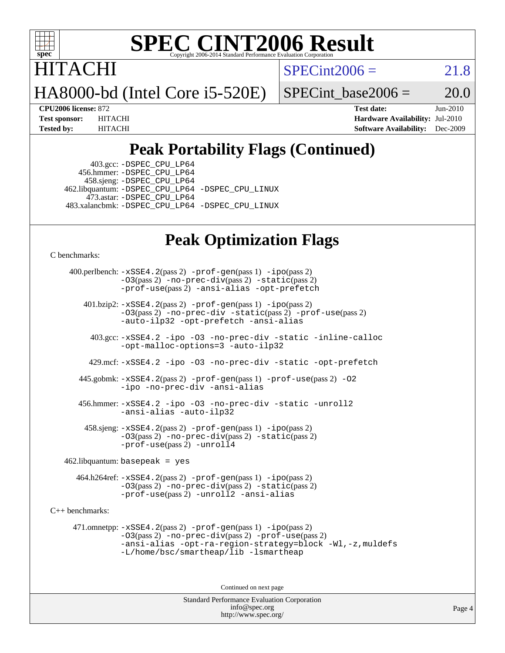

**TACHI** 

 $SPECint2006 = 21.8$  $SPECint2006 = 21.8$ 

HA8000-bd (Intel Core i5-520E)

SPECint base2006 =  $20.0$ 

**[CPU2006 license:](http://www.spec.org/auto/cpu2006/Docs/result-fields.html#CPU2006license)** 872 **[Test date:](http://www.spec.org/auto/cpu2006/Docs/result-fields.html#Testdate)** Jun-2010 **[Test sponsor:](http://www.spec.org/auto/cpu2006/Docs/result-fields.html#Testsponsor)** HITACHI **[Hardware Availability:](http://www.spec.org/auto/cpu2006/Docs/result-fields.html#HardwareAvailability)** Jul-2010 **[Tested by:](http://www.spec.org/auto/cpu2006/Docs/result-fields.html#Testedby)** HITACHI **[Software Availability:](http://www.spec.org/auto/cpu2006/Docs/result-fields.html#SoftwareAvailability)** Dec-2009

#### **[Peak Portability Flags \(Continued\)](http://www.spec.org/auto/cpu2006/Docs/result-fields.html#PeakPortabilityFlags)**

 403.gcc: [-DSPEC\\_CPU\\_LP64](http://www.spec.org/cpu2006/results/res2010q3/cpu2006-20100608-11631.flags.html#suite_peakPORTABILITY403_gcc_DSPEC_CPU_LP64) 456.hmmer: [-DSPEC\\_CPU\\_LP64](http://www.spec.org/cpu2006/results/res2010q3/cpu2006-20100608-11631.flags.html#suite_peakPORTABILITY456_hmmer_DSPEC_CPU_LP64) 458.sjeng: [-DSPEC\\_CPU\\_LP64](http://www.spec.org/cpu2006/results/res2010q3/cpu2006-20100608-11631.flags.html#suite_peakPORTABILITY458_sjeng_DSPEC_CPU_LP64) 462.libquantum: [-DSPEC\\_CPU\\_LP64](http://www.spec.org/cpu2006/results/res2010q3/cpu2006-20100608-11631.flags.html#suite_peakPORTABILITY462_libquantum_DSPEC_CPU_LP64) [-DSPEC\\_CPU\\_LINUX](http://www.spec.org/cpu2006/results/res2010q3/cpu2006-20100608-11631.flags.html#b462.libquantum_peakCPORTABILITY_DSPEC_CPU_LINUX) 473.astar: [-DSPEC\\_CPU\\_LP64](http://www.spec.org/cpu2006/results/res2010q3/cpu2006-20100608-11631.flags.html#suite_peakPORTABILITY473_astar_DSPEC_CPU_LP64) 483.xalancbmk: [-DSPEC\\_CPU\\_LP64](http://www.spec.org/cpu2006/results/res2010q3/cpu2006-20100608-11631.flags.html#suite_peakPORTABILITY483_xalancbmk_DSPEC_CPU_LP64) [-DSPEC\\_CPU\\_LINUX](http://www.spec.org/cpu2006/results/res2010q3/cpu2006-20100608-11631.flags.html#b483.xalancbmk_peakCXXPORTABILITY_DSPEC_CPU_LINUX)

#### **[Peak Optimization Flags](http://www.spec.org/auto/cpu2006/Docs/result-fields.html#PeakOptimizationFlags)**

[C benchmarks](http://www.spec.org/auto/cpu2006/Docs/result-fields.html#Cbenchmarks):

 400.perlbench: [-xSSE4.2](http://www.spec.org/cpu2006/results/res2010q3/cpu2006-20100608-11631.flags.html#user_peakPASS2_CFLAGSPASS2_LDCFLAGS400_perlbench_f-xSSE42_f91528193cf0b216347adb8b939d4107)(pass 2) [-prof-gen](http://www.spec.org/cpu2006/results/res2010q3/cpu2006-20100608-11631.flags.html#user_peakPASS1_CFLAGSPASS1_LDCFLAGS400_perlbench_prof_gen_e43856698f6ca7b7e442dfd80e94a8fc)(pass 1) [-ipo](http://www.spec.org/cpu2006/results/res2010q3/cpu2006-20100608-11631.flags.html#user_peakPASS2_CFLAGSPASS2_LDCFLAGS400_perlbench_f-ipo)(pass 2) [-O3](http://www.spec.org/cpu2006/results/res2010q3/cpu2006-20100608-11631.flags.html#user_peakPASS2_CFLAGSPASS2_LDCFLAGS400_perlbench_f-O3)(pass 2) [-no-prec-div](http://www.spec.org/cpu2006/results/res2010q3/cpu2006-20100608-11631.flags.html#user_peakPASS2_CFLAGSPASS2_LDCFLAGS400_perlbench_f-no-prec-div)(pass 2) [-static](http://www.spec.org/cpu2006/results/res2010q3/cpu2006-20100608-11631.flags.html#user_peakPASS2_CFLAGSPASS2_LDCFLAGS400_perlbench_f-static)(pass 2) [-prof-use](http://www.spec.org/cpu2006/results/res2010q3/cpu2006-20100608-11631.flags.html#user_peakPASS2_CFLAGSPASS2_LDCFLAGS400_perlbench_prof_use_bccf7792157ff70d64e32fe3e1250b55)(pass 2) [-ansi-alias](http://www.spec.org/cpu2006/results/res2010q3/cpu2006-20100608-11631.flags.html#user_peakCOPTIMIZE400_perlbench_f-ansi-alias) [-opt-prefetch](http://www.spec.org/cpu2006/results/res2010q3/cpu2006-20100608-11631.flags.html#user_peakCOPTIMIZE400_perlbench_f-opt-prefetch) 401.bzip2: [-xSSE4.2](http://www.spec.org/cpu2006/results/res2010q3/cpu2006-20100608-11631.flags.html#user_peakPASS2_CFLAGSPASS2_LDCFLAGS401_bzip2_f-xSSE42_f91528193cf0b216347adb8b939d4107)(pass 2) [-prof-gen](http://www.spec.org/cpu2006/results/res2010q3/cpu2006-20100608-11631.flags.html#user_peakPASS1_CFLAGSPASS1_LDCFLAGS401_bzip2_prof_gen_e43856698f6ca7b7e442dfd80e94a8fc)(pass 1) [-ipo](http://www.spec.org/cpu2006/results/res2010q3/cpu2006-20100608-11631.flags.html#user_peakPASS2_CFLAGSPASS2_LDCFLAGS401_bzip2_f-ipo)(pass 2) [-O3](http://www.spec.org/cpu2006/results/res2010q3/cpu2006-20100608-11631.flags.html#user_peakPASS2_CFLAGSPASS2_LDCFLAGS401_bzip2_f-O3)(pass 2) [-no-prec-div](http://www.spec.org/cpu2006/results/res2010q3/cpu2006-20100608-11631.flags.html#user_peakCOPTIMIZEPASS2_CFLAGSPASS2_LDCFLAGS401_bzip2_f-no-prec-div) [-static](http://www.spec.org/cpu2006/results/res2010q3/cpu2006-20100608-11631.flags.html#user_peakPASS2_CFLAGSPASS2_LDCFLAGS401_bzip2_f-static)(pass 2) [-prof-use](http://www.spec.org/cpu2006/results/res2010q3/cpu2006-20100608-11631.flags.html#user_peakPASS2_CFLAGSPASS2_LDCFLAGS401_bzip2_prof_use_bccf7792157ff70d64e32fe3e1250b55)(pass 2) [-auto-ilp32](http://www.spec.org/cpu2006/results/res2010q3/cpu2006-20100608-11631.flags.html#user_peakCOPTIMIZE401_bzip2_f-auto-ilp32) [-opt-prefetch](http://www.spec.org/cpu2006/results/res2010q3/cpu2006-20100608-11631.flags.html#user_peakCOPTIMIZE401_bzip2_f-opt-prefetch) [-ansi-alias](http://www.spec.org/cpu2006/results/res2010q3/cpu2006-20100608-11631.flags.html#user_peakCOPTIMIZE401_bzip2_f-ansi-alias) 403.gcc: [-xSSE4.2](http://www.spec.org/cpu2006/results/res2010q3/cpu2006-20100608-11631.flags.html#user_peakCOPTIMIZE403_gcc_f-xSSE42_f91528193cf0b216347adb8b939d4107) [-ipo](http://www.spec.org/cpu2006/results/res2010q3/cpu2006-20100608-11631.flags.html#user_peakCOPTIMIZE403_gcc_f-ipo) [-O3](http://www.spec.org/cpu2006/results/res2010q3/cpu2006-20100608-11631.flags.html#user_peakCOPTIMIZE403_gcc_f-O3) [-no-prec-div](http://www.spec.org/cpu2006/results/res2010q3/cpu2006-20100608-11631.flags.html#user_peakCOPTIMIZE403_gcc_f-no-prec-div) [-static](http://www.spec.org/cpu2006/results/res2010q3/cpu2006-20100608-11631.flags.html#user_peakCOPTIMIZE403_gcc_f-static) [-inline-calloc](http://www.spec.org/cpu2006/results/res2010q3/cpu2006-20100608-11631.flags.html#user_peakCOPTIMIZE403_gcc_f-inline-calloc) [-opt-malloc-options=3](http://www.spec.org/cpu2006/results/res2010q3/cpu2006-20100608-11631.flags.html#user_peakCOPTIMIZE403_gcc_f-opt-malloc-options_13ab9b803cf986b4ee62f0a5998c2238) [-auto-ilp32](http://www.spec.org/cpu2006/results/res2010q3/cpu2006-20100608-11631.flags.html#user_peakCOPTIMIZE403_gcc_f-auto-ilp32) 429.mcf: [-xSSE4.2](http://www.spec.org/cpu2006/results/res2010q3/cpu2006-20100608-11631.flags.html#user_peakCOPTIMIZE429_mcf_f-xSSE42_f91528193cf0b216347adb8b939d4107) [-ipo](http://www.spec.org/cpu2006/results/res2010q3/cpu2006-20100608-11631.flags.html#user_peakCOPTIMIZE429_mcf_f-ipo) [-O3](http://www.spec.org/cpu2006/results/res2010q3/cpu2006-20100608-11631.flags.html#user_peakCOPTIMIZE429_mcf_f-O3) [-no-prec-div](http://www.spec.org/cpu2006/results/res2010q3/cpu2006-20100608-11631.flags.html#user_peakCOPTIMIZE429_mcf_f-no-prec-div) [-static](http://www.spec.org/cpu2006/results/res2010q3/cpu2006-20100608-11631.flags.html#user_peakCOPTIMIZE429_mcf_f-static) [-opt-prefetch](http://www.spec.org/cpu2006/results/res2010q3/cpu2006-20100608-11631.flags.html#user_peakCOPTIMIZE429_mcf_f-opt-prefetch) 445.gobmk: [-xSSE4.2](http://www.spec.org/cpu2006/results/res2010q3/cpu2006-20100608-11631.flags.html#user_peakPASS2_CFLAGSPASS2_LDCFLAGS445_gobmk_f-xSSE42_f91528193cf0b216347adb8b939d4107)(pass 2) [-prof-gen](http://www.spec.org/cpu2006/results/res2010q3/cpu2006-20100608-11631.flags.html#user_peakPASS1_CFLAGSPASS1_LDCFLAGS445_gobmk_prof_gen_e43856698f6ca7b7e442dfd80e94a8fc)(pass 1) [-prof-use](http://www.spec.org/cpu2006/results/res2010q3/cpu2006-20100608-11631.flags.html#user_peakPASS2_CFLAGSPASS2_LDCFLAGS445_gobmk_prof_use_bccf7792157ff70d64e32fe3e1250b55)(pass 2) [-O2](http://www.spec.org/cpu2006/results/res2010q3/cpu2006-20100608-11631.flags.html#user_peakCOPTIMIZE445_gobmk_f-O2) [-ipo](http://www.spec.org/cpu2006/results/res2010q3/cpu2006-20100608-11631.flags.html#user_peakCOPTIMIZE445_gobmk_f-ipo) [-no-prec-div](http://www.spec.org/cpu2006/results/res2010q3/cpu2006-20100608-11631.flags.html#user_peakCOPTIMIZE445_gobmk_f-no-prec-div) [-ansi-alias](http://www.spec.org/cpu2006/results/res2010q3/cpu2006-20100608-11631.flags.html#user_peakCOPTIMIZE445_gobmk_f-ansi-alias) 456.hmmer: [-xSSE4.2](http://www.spec.org/cpu2006/results/res2010q3/cpu2006-20100608-11631.flags.html#user_peakCOPTIMIZE456_hmmer_f-xSSE42_f91528193cf0b216347adb8b939d4107) [-ipo](http://www.spec.org/cpu2006/results/res2010q3/cpu2006-20100608-11631.flags.html#user_peakCOPTIMIZE456_hmmer_f-ipo) [-O3](http://www.spec.org/cpu2006/results/res2010q3/cpu2006-20100608-11631.flags.html#user_peakCOPTIMIZE456_hmmer_f-O3) [-no-prec-div](http://www.spec.org/cpu2006/results/res2010q3/cpu2006-20100608-11631.flags.html#user_peakCOPTIMIZE456_hmmer_f-no-prec-div) [-static](http://www.spec.org/cpu2006/results/res2010q3/cpu2006-20100608-11631.flags.html#user_peakCOPTIMIZE456_hmmer_f-static) [-unroll2](http://www.spec.org/cpu2006/results/res2010q3/cpu2006-20100608-11631.flags.html#user_peakCOPTIMIZE456_hmmer_f-unroll_784dae83bebfb236979b41d2422d7ec2) [-ansi-alias](http://www.spec.org/cpu2006/results/res2010q3/cpu2006-20100608-11631.flags.html#user_peakCOPTIMIZE456_hmmer_f-ansi-alias) [-auto-ilp32](http://www.spec.org/cpu2006/results/res2010q3/cpu2006-20100608-11631.flags.html#user_peakCOPTIMIZE456_hmmer_f-auto-ilp32) 458.sjeng: [-xSSE4.2](http://www.spec.org/cpu2006/results/res2010q3/cpu2006-20100608-11631.flags.html#user_peakPASS2_CFLAGSPASS2_LDCFLAGS458_sjeng_f-xSSE42_f91528193cf0b216347adb8b939d4107)(pass 2) [-prof-gen](http://www.spec.org/cpu2006/results/res2010q3/cpu2006-20100608-11631.flags.html#user_peakPASS1_CFLAGSPASS1_LDCFLAGS458_sjeng_prof_gen_e43856698f6ca7b7e442dfd80e94a8fc)(pass 1) [-ipo](http://www.spec.org/cpu2006/results/res2010q3/cpu2006-20100608-11631.flags.html#user_peakPASS2_CFLAGSPASS2_LDCFLAGS458_sjeng_f-ipo)(pass 2) [-O3](http://www.spec.org/cpu2006/results/res2010q3/cpu2006-20100608-11631.flags.html#user_peakPASS2_CFLAGSPASS2_LDCFLAGS458_sjeng_f-O3)(pass 2) [-no-prec-div](http://www.spec.org/cpu2006/results/res2010q3/cpu2006-20100608-11631.flags.html#user_peakPASS2_CFLAGSPASS2_LDCFLAGS458_sjeng_f-no-prec-div)(pass 2) [-static](http://www.spec.org/cpu2006/results/res2010q3/cpu2006-20100608-11631.flags.html#user_peakPASS2_CFLAGSPASS2_LDCFLAGS458_sjeng_f-static)(pass 2) [-prof-use](http://www.spec.org/cpu2006/results/res2010q3/cpu2006-20100608-11631.flags.html#user_peakPASS2_CFLAGSPASS2_LDCFLAGS458_sjeng_prof_use_bccf7792157ff70d64e32fe3e1250b55)(pass 2) [-unroll4](http://www.spec.org/cpu2006/results/res2010q3/cpu2006-20100608-11631.flags.html#user_peakCOPTIMIZE458_sjeng_f-unroll_4e5e4ed65b7fd20bdcd365bec371b81f)  $462$ .libquantum: basepeak = yes 464.h264ref: [-xSSE4.2](http://www.spec.org/cpu2006/results/res2010q3/cpu2006-20100608-11631.flags.html#user_peakPASS2_CFLAGSPASS2_LDCFLAGS464_h264ref_f-xSSE42_f91528193cf0b216347adb8b939d4107)(pass 2) [-prof-gen](http://www.spec.org/cpu2006/results/res2010q3/cpu2006-20100608-11631.flags.html#user_peakPASS1_CFLAGSPASS1_LDCFLAGS464_h264ref_prof_gen_e43856698f6ca7b7e442dfd80e94a8fc)(pass 1) [-ipo](http://www.spec.org/cpu2006/results/res2010q3/cpu2006-20100608-11631.flags.html#user_peakPASS2_CFLAGSPASS2_LDCFLAGS464_h264ref_f-ipo)(pass 2) [-O3](http://www.spec.org/cpu2006/results/res2010q3/cpu2006-20100608-11631.flags.html#user_peakPASS2_CFLAGSPASS2_LDCFLAGS464_h264ref_f-O3)(pass 2) [-no-prec-div](http://www.spec.org/cpu2006/results/res2010q3/cpu2006-20100608-11631.flags.html#user_peakPASS2_CFLAGSPASS2_LDCFLAGS464_h264ref_f-no-prec-div)(pass 2) [-static](http://www.spec.org/cpu2006/results/res2010q3/cpu2006-20100608-11631.flags.html#user_peakPASS2_CFLAGSPASS2_LDCFLAGS464_h264ref_f-static)(pass 2) [-prof-use](http://www.spec.org/cpu2006/results/res2010q3/cpu2006-20100608-11631.flags.html#user_peakPASS2_CFLAGSPASS2_LDCFLAGS464_h264ref_prof_use_bccf7792157ff70d64e32fe3e1250b55)(pass 2) [-unroll2](http://www.spec.org/cpu2006/results/res2010q3/cpu2006-20100608-11631.flags.html#user_peakCOPTIMIZE464_h264ref_f-unroll_784dae83bebfb236979b41d2422d7ec2) [-ansi-alias](http://www.spec.org/cpu2006/results/res2010q3/cpu2006-20100608-11631.flags.html#user_peakCOPTIMIZE464_h264ref_f-ansi-alias) [C++ benchmarks:](http://www.spec.org/auto/cpu2006/Docs/result-fields.html#CXXbenchmarks) 471.omnetpp: [-xSSE4.2](http://www.spec.org/cpu2006/results/res2010q3/cpu2006-20100608-11631.flags.html#user_peakPASS2_CXXFLAGSPASS2_LDCXXFLAGS471_omnetpp_f-xSSE42_f91528193cf0b216347adb8b939d4107)(pass 2) [-prof-gen](http://www.spec.org/cpu2006/results/res2010q3/cpu2006-20100608-11631.flags.html#user_peakPASS1_CXXFLAGSPASS1_LDCXXFLAGS471_omnetpp_prof_gen_e43856698f6ca7b7e442dfd80e94a8fc)(pass 1) [-ipo](http://www.spec.org/cpu2006/results/res2010q3/cpu2006-20100608-11631.flags.html#user_peakPASS2_CXXFLAGSPASS2_LDCXXFLAGS471_omnetpp_f-ipo)(pass 2) [-O3](http://www.spec.org/cpu2006/results/res2010q3/cpu2006-20100608-11631.flags.html#user_peakPASS2_CXXFLAGSPASS2_LDCXXFLAGS471_omnetpp_f-O3)(pass 2) [-no-prec-div](http://www.spec.org/cpu2006/results/res2010q3/cpu2006-20100608-11631.flags.html#user_peakPASS2_CXXFLAGSPASS2_LDCXXFLAGS471_omnetpp_f-no-prec-div)(pass 2) [-prof-use](http://www.spec.org/cpu2006/results/res2010q3/cpu2006-20100608-11631.flags.html#user_peakPASS2_CXXFLAGSPASS2_LDCXXFLAGS471_omnetpp_prof_use_bccf7792157ff70d64e32fe3e1250b55)(pass 2) [-ansi-alias](http://www.spec.org/cpu2006/results/res2010q3/cpu2006-20100608-11631.flags.html#user_peakCXXOPTIMIZE471_omnetpp_f-ansi-alias) [-opt-ra-region-strategy=block](http://www.spec.org/cpu2006/results/res2010q3/cpu2006-20100608-11631.flags.html#user_peakCXXOPTIMIZE471_omnetpp_f-opt-ra-region-strategy-block_a0a37c372d03933b2a18d4af463c1f69) [-Wl,-z,muldefs](http://www.spec.org/cpu2006/results/res2010q3/cpu2006-20100608-11631.flags.html#user_peakEXTRA_LDFLAGS471_omnetpp_link_force_multiple1_74079c344b956b9658436fd1b6dd3a8a) [-L/home/bsc/smartheap/lib -lsmartheap](http://www.spec.org/cpu2006/results/res2010q3/cpu2006-20100608-11631.flags.html#user_peakEXTRA_LIBS471_omnetpp_SmartHeap_9f0954739f7704b2e81d8beae675b87f)

Continued on next page